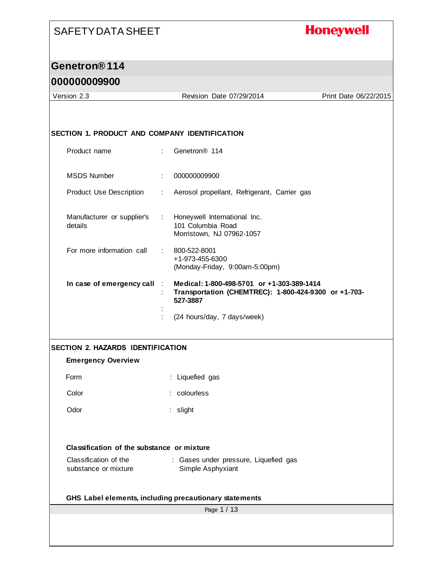#### **Honeywell**

#### **Genetron® 114**

#### **000000009900**

Page 1 / 13 Version 2.3 Revision Date 07/29/2014 Print Date 06/22/2015 **SECTION 1. PRODUCT AND COMPANY IDENTIFICATION** Product name : Genetron® 114 MSDS Number : 000000009900 Product Use Description : Aerosol propellant, Refrigerant, Carrier gas Manufacturer or supplier's : details : Honeywell International Inc. 101 Columbia Road Morristown, NJ 07962-1057 For more information call : 800-522-8001 +1-973-455-6300 (Monday-Friday, 9:00am-5:00pm) **In case of emergency call** : **Medical: 1-800-498-5701 or +1-303-389-1414** : **Transportation (CHEMTREC): 1-800-424-9300 or +1-703- 527-3887** : : (24 hours/day, 7 days/week) **SECTION 2. HAZARDS IDENTIFICATION Emergency Overview** Form : Liquefied gas Color : colourless Odor : slight **Classification of the substance or mixture** Classification of the substance or mixture : Gases under pressure, Liquefied gas Simple Asphyxiant **GHS Label elements, including precautionary statements**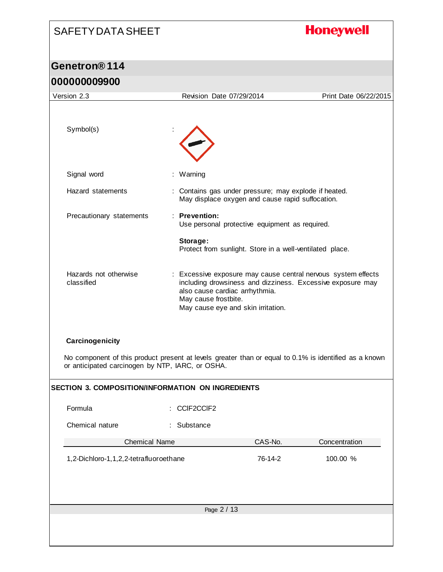# SAFETY DATA SHEET **Honeywell Genetron® 114 000000009900** Version 2.3 Revision Date 07/29/2014 Print Date 06/22/2015 Symbol(s) : Signal word : Warning Hazard statements : Contains gas under pressure; may explode if heated. May displace oxygen and cause rapid suffocation. Precautionary statements : **Prevention:**  Use personal protective equipment as required. **Storage:**  Protect from sunlight. Store in a well-ventilated place.

Hazards not otherwise classified : Excessive exposure may cause central nervous system effects including drowsiness and dizziness. Excessive exposure may also cause cardiac arrhythmia. May cause frostbite. May cause eye and skin irritation.

#### **Carcinogenicity**

No component of this product present at levels greater than or equal to 0.1% is identified as a known or anticipated carcinogen by NTP, IARC, or OSHA.

| <b>SECTION 3. COMPOSITION/INFORMATION ON INGREDIENTS</b> |                      |         |               |  |
|----------------------------------------------------------|----------------------|---------|---------------|--|
| Formula                                                  | : CCIF2CCIF2         |         |               |  |
| Chemical nature                                          | : Substance          |         |               |  |
|                                                          | <b>Chemical Name</b> | CAS-No. | Concentration |  |
| 1,2-Dichloro-1,1,2,2-tetrafluoroethane                   |                      | 76-14-2 | 100.00 %      |  |
|                                                          |                      |         |               |  |
|                                                          |                      |         |               |  |
|                                                          | Page 2 / 13          |         |               |  |
|                                                          |                      |         |               |  |
|                                                          |                      |         |               |  |
|                                                          |                      |         |               |  |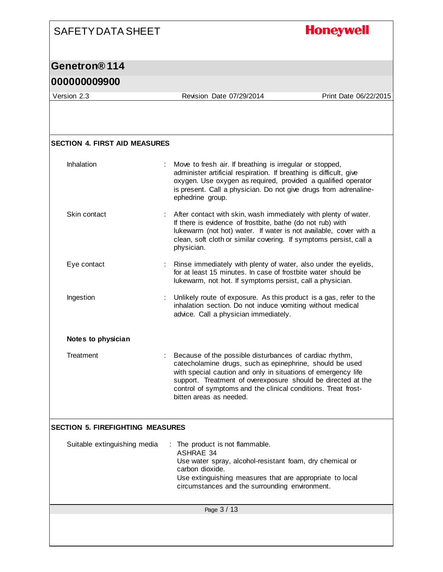#### **Honeywell**

#### **Genetron® 114**

#### **000000009900**

Version 2.3 Revision Date 07/29/2014 Print Date 06/22/2015

### Page 3 / 13 **SECTION 4. FIRST AID MEASURES** Inhalation : Move to fresh air. If breathing is irregular or stopped, administer artificial respiration. If breathing is difficult, give oxygen. Use oxygen as required, provided a qualified operator is present. Call a physician. Do not give drugs from adrenalineephedrine group. Skin contact : After contact with skin, wash immediately with plenty of water. If there is evidence of frostbite, bathe (do not rub) with lukewarm (not hot) water. If water is not available, cover with a clean, soft cloth or similar covering. If symptoms persist, call a physician. Eye contact **Exercise :** Rinse immediately with plenty of water, also under the eyelids, for at least 15 minutes. In case of frostbite water should be lukewarm, not hot. If symptoms persist, call a physician. Ingestion : Unlikely route of exposure. As this product is a gas, refer to the inhalation section. Do not induce vomiting without medical advice. Call a physician immediately. **Notes to physician** Treatment : Because of the possible disturbances of cardiac rhythm, catecholamine drugs, such as epinephrine, should be used with special caution and only in situations of emergency life support. Treatment of overexposure should be directed at the control of symptoms and the clinical conditions. Treat frostbitten areas as needed. **SECTION 5. FIREFIGHTING MEASURES** Suitable extinguishing media : The product is not flammable. ASHRAE 34 Use water spray, alcohol-resistant foam, dry chemical or carbon dioxide. Use extinguishing measures that are appropriate to local circumstances and the surrounding environment.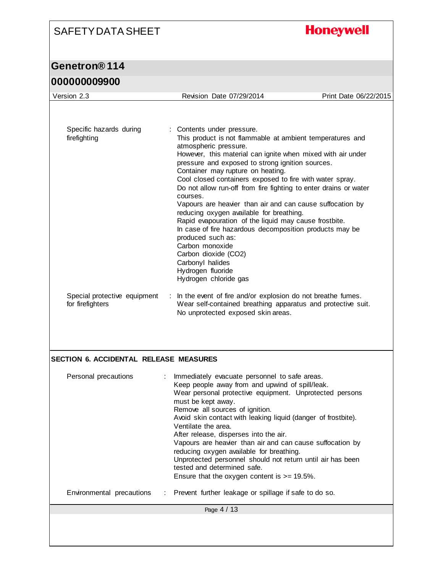# **Honeywell**

## **Genetron® 114**

### **000000009900**

| Version 2.3                                      | Revision Date 07/29/2014                                                                                                                                                                                                                                                                                                                                                                                                                                                                                                                                                                                                                                                                                                                                                            | Print Date 06/22/2015 |
|--------------------------------------------------|-------------------------------------------------------------------------------------------------------------------------------------------------------------------------------------------------------------------------------------------------------------------------------------------------------------------------------------------------------------------------------------------------------------------------------------------------------------------------------------------------------------------------------------------------------------------------------------------------------------------------------------------------------------------------------------------------------------------------------------------------------------------------------------|-----------------------|
|                                                  |                                                                                                                                                                                                                                                                                                                                                                                                                                                                                                                                                                                                                                                                                                                                                                                     |                       |
| Specific hazards during<br>firefighting          | : Contents under pressure.<br>This product is not flammable at ambient temperatures and<br>atmospheric pressure.<br>However, this material can ignite when mixed with air under<br>pressure and exposed to strong ignition sources.<br>Container may rupture on heating.<br>Cool closed containers exposed to fire with water spray.<br>Do not allow run-off from fire fighting to enter drains or water<br>courses.<br>Vapours are heavier than air and can cause suffocation by<br>reducing oxygen available for breathing.<br>Rapid evapouration of the liquid may cause frostbite.<br>In case of fire hazardous decomposition products may be<br>produced such as:<br>Carbon monoxide<br>Carbon dioxide (CO2)<br>Carbonyl halides<br>Hydrogen fluoride<br>Hydrogen chloride gas |                       |
| Special protective equipment<br>for firefighters | : In the event of fire and/or explosion do not breathe fumes.<br>Wear self-contained breathing apparatus and protective suit.<br>No unprotected exposed skin areas.                                                                                                                                                                                                                                                                                                                                                                                                                                                                                                                                                                                                                 |                       |
|                                                  |                                                                                                                                                                                                                                                                                                                                                                                                                                                                                                                                                                                                                                                                                                                                                                                     |                       |
| SECTION 6. ACCIDENTAL RELEASE MEASURES           |                                                                                                                                                                                                                                                                                                                                                                                                                                                                                                                                                                                                                                                                                                                                                                                     |                       |
| Personal precautions                             | Immediately evacuate personnel to safe areas.<br>Keep people away from and upwind of spill/leak.<br>Wear personal protective equipment. Unprotected persons<br>must be kept away.<br>Remove all sources of ignition.<br>Avoid skin contact with leaking liquid (danger of frostbite).<br>Ventilate the area.<br>After release, disperses into the air.<br>Vapours are heavier than air and can cause suffocation by<br>reducing oxygen available for breathing.<br>Unprotected personnel should not return until air has been<br>tested and determined safe.<br>Ensure that the oxygen content is $>= 19.5\%$ .                                                                                                                                                                     |                       |
| Environmental precautions                        | Prevent further leakage or spillage if safe to do so.                                                                                                                                                                                                                                                                                                                                                                                                                                                                                                                                                                                                                                                                                                                               |                       |
|                                                  | Page 4 / 13                                                                                                                                                                                                                                                                                                                                                                                                                                                                                                                                                                                                                                                                                                                                                                         |                       |
|                                                  |                                                                                                                                                                                                                                                                                                                                                                                                                                                                                                                                                                                                                                                                                                                                                                                     |                       |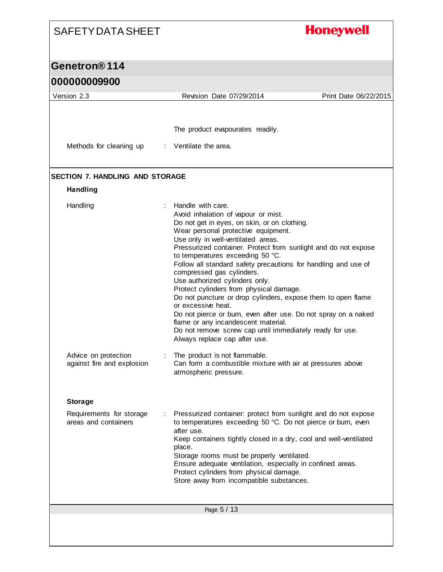# **Honeywell**

#### **Genetron® 114 000000009900**

| Version 2.3                                                        | Revision Date 07/29/2014                                                                                                                                                                                                                                                                                                                                                                                                                                                                                                                                                                                                                                                                                                                                              | Print Date 06/22/2015 |
|--------------------------------------------------------------------|-----------------------------------------------------------------------------------------------------------------------------------------------------------------------------------------------------------------------------------------------------------------------------------------------------------------------------------------------------------------------------------------------------------------------------------------------------------------------------------------------------------------------------------------------------------------------------------------------------------------------------------------------------------------------------------------------------------------------------------------------------------------------|-----------------------|
|                                                                    |                                                                                                                                                                                                                                                                                                                                                                                                                                                                                                                                                                                                                                                                                                                                                                       |                       |
|                                                                    | The product evapourates readily.                                                                                                                                                                                                                                                                                                                                                                                                                                                                                                                                                                                                                                                                                                                                      |                       |
| Methods for cleaning up                                            | $\therefore$ Ventilate the area.                                                                                                                                                                                                                                                                                                                                                                                                                                                                                                                                                                                                                                                                                                                                      |                       |
| <b>SECTION 7. HANDLING AND STORAGE</b>                             |                                                                                                                                                                                                                                                                                                                                                                                                                                                                                                                                                                                                                                                                                                                                                                       |                       |
| <b>Handling</b>                                                    |                                                                                                                                                                                                                                                                                                                                                                                                                                                                                                                                                                                                                                                                                                                                                                       |                       |
| Handling                                                           | : Handle with care.<br>Avoid inhalation of vapour or mist.<br>Do not get in eyes, on skin, or on clothing.<br>Wear personal protective equipment.<br>Use only in well-ventilated areas.<br>Pressurized container. Protect from sunlight and do not expose<br>to temperatures exceeding 50 °C.<br>Follow all standard safety precautions for handling and use of<br>compressed gas cylinders.<br>Use authorized cylinders only.<br>Protect cylinders from physical damage.<br>Do not puncture or drop cylinders, expose them to open flame<br>or excessive heat.<br>Do not pierce or burn, even after use. Do not spray on a naked<br>flame or any incandescent material.<br>Do not remove screw cap until immediately ready for use.<br>Always replace cap after use. |                       |
| Advice on protection<br>against fire and explosion                 | The product is not flammable.<br>Can form a combustible mixture with air at pressures above<br>atmospheric pressure.                                                                                                                                                                                                                                                                                                                                                                                                                                                                                                                                                                                                                                                  |                       |
|                                                                    |                                                                                                                                                                                                                                                                                                                                                                                                                                                                                                                                                                                                                                                                                                                                                                       |                       |
| <b>Storage</b><br>Requirements for storage<br>areas and containers | Pressurized container: protect from sunlight and do not expose<br>to temperatures exceeding 50 °C. Do not pierce or burn, even<br>after use.<br>Keep containers tightly closed in a dry, cool and well-ventilated<br>place.<br>Storage rooms must be properly ventilated.<br>Ensure adequate ventilation, especially in confined areas.<br>Protect cylinders from physical damage.<br>Store away from incompatible substances.                                                                                                                                                                                                                                                                                                                                        |                       |
|                                                                    | Page 5 / 13                                                                                                                                                                                                                                                                                                                                                                                                                                                                                                                                                                                                                                                                                                                                                           |                       |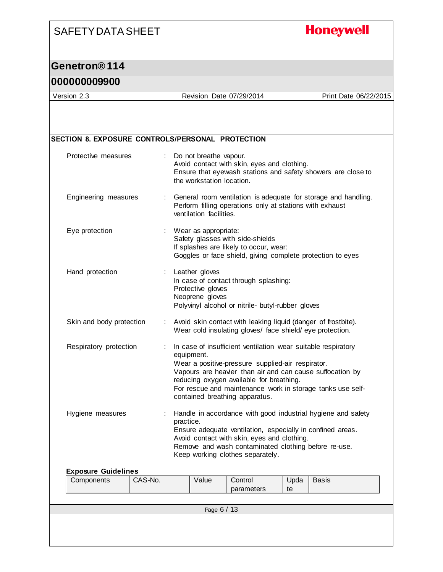#### **Honeywell**

#### **Genetron® 114**

#### **000000009900**

Version 2.3 Revision Date 07/29/2014 Print Date 06/22/2015

#### Page 6 / 13 **SECTION 8. EXPOSURE CONTROLS/PERSONAL PROTECTION** Protective measures : Do not breathe vapour. Avoid contact with skin, eyes and clothing. Ensure that eyewash stations and safety showers are close to the workstation location. Engineering measures : General room ventilation is adequate for storage and handling. Perform filling operations only at stations with exhaust ventilation facilities. Eye protection : Wear as appropriate: Safety glasses with side-shields If splashes are likely to occur, wear: Goggles or face shield, giving complete protection to eyes Hand protection : Leather gloves In case of contact through splashing: Protective gloves Neoprene gloves Polyvinyl alcohol or nitrile- butyl-rubber gloves Skin and body protection : Avoid skin contact with leaking liquid (danger of frostbite). Wear cold insulating gloves/ face shield/ eye protection. Respiratory protection : In case of insufficient ventilation wear suitable respiratory equipment. Wear a positive-pressure supplied-air respirator. Vapours are heavier than air and can cause suffocation by reducing oxygen available for breathing. For rescue and maintenance work in storage tanks use selfcontained breathing apparatus. Hygiene measures : Handle in accordance with good industrial hygiene and safety practice. Ensure adequate ventilation, especially in confined areas. Avoid contact with skin, eyes and clothing. Remove and wash contaminated clothing before re-use. Keep working clothes separately. **Exposure Guidelines** Components | CAS-No. | Value | Control parameters Upda te **Basis**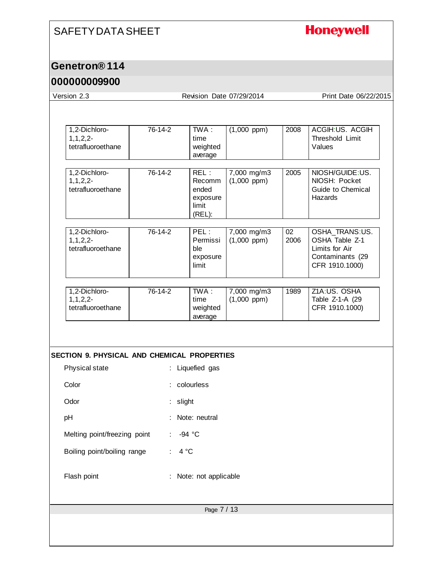## **Honeywell**

### **Genetron® 114**

### **000000009900**

Version 2.3 Revision Date 07/29/2014 Print Date 06/22/2015

| 1,2-Dichloro-<br>$1, 1, 2, 2-$<br>tetrafluoroethane           | 76-14-2               | TWA:<br>time<br>weighted<br>average                           | $(1,000$ ppm $)$                | 2008       | ACGIH:US. ACGIH<br>Threshold Limit<br>Values                                             |
|---------------------------------------------------------------|-----------------------|---------------------------------------------------------------|---------------------------------|------------|------------------------------------------------------------------------------------------|
| 1,2-Dichloro-<br>$1, 1, 2, 2-$<br>tetrafluoroethane           | 76-14-2               | REL:<br><b>Recomm</b><br>ended<br>exposure<br>limit<br>(REL): | 7,000 mg/m3<br>$(1,000$ ppm)    | 2005       | NIOSH/GUIDE:US.<br>NIOSH: Pocket<br>Guide to Chemical<br>Hazards                         |
| 1,2-Dichloro-<br>$1, 1, 2, 2-$<br>tetrafluoroethane           | 76-14-2               | PEL:<br>Permissi<br>ble<br>exposure<br>limit                  | 7,000 mg/m3<br>$(1,000$ ppm $)$ | 02<br>2006 | OSHA_TRANS:US.<br>OSHA Table Z-1<br>Limits for Air<br>Contaminants (29<br>CFR 1910.1000) |
| 1,2-Dichloro-<br>$1, 1, 2, 2-$<br>tetrafluoroethane           | 76-14-2               | TWA:<br>time<br>weighted<br>average                           | 7,000 mg/m3<br>$(1,000$ ppm $)$ | 1989       | Z1A:US. OSHA<br>Table Z-1-A (29<br>CFR 1910.1000)                                        |
|                                                               |                       |                                                               |                                 |            |                                                                                          |
| SECTION 9. PHYSICAL AND CHEMICAL PROPERTIES<br>Physical state |                       | Liquefied gas                                                 |                                 |            |                                                                                          |
| Color                                                         |                       | colourless                                                    |                                 |            |                                                                                          |
| Odor                                                          | slight                |                                                               |                                 |            |                                                                                          |
| pH                                                            |                       | Note: neutral                                                 |                                 |            |                                                                                          |
| Melting point/freezing point                                  | $\mathbb{Z}^{\times}$ | $-94 °C$                                                      |                                 |            |                                                                                          |
| Boiling point/boiling range                                   | 4 °C                  |                                                               |                                 |            |                                                                                          |
| Flash point                                                   |                       | Note: not applicable                                          |                                 |            |                                                                                          |
|                                                               |                       |                                                               |                                 |            |                                                                                          |
|                                                               |                       | Page 7 / 13                                                   |                                 |            |                                                                                          |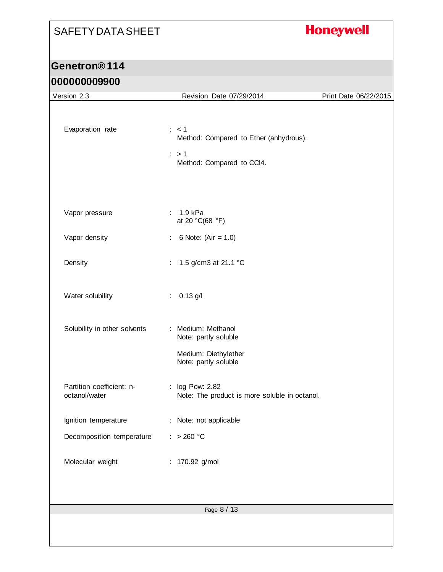# **Honeywell**

## **Genetron® 114**

## **000000009900**

| Version 2.3                                       | Revision Date 07/29/2014                                                                                    | Print Date 06/22/2015 |
|---------------------------------------------------|-------------------------------------------------------------------------------------------------------------|-----------------------|
| Evaporation rate                                  | $\therefore$ < 1<br>Method: Compared to Ether (anhydrous).<br>$\therefore$ > 1<br>Method: Compared to CCI4. |                       |
| Vapor pressure<br>Vapor density                   | : 1.9 kPa<br>at 20 °C(68 °F)<br>6 Note: $(Air = 1.0)$<br>÷                                                  |                       |
| Density                                           | 1.5 g/cm3 at 21.1 °C<br>÷.                                                                                  |                       |
| Water solubility                                  | $: 0.13$ g/l                                                                                                |                       |
| Solubility in other solvents                      | : Medium: Methanol<br>Note: partly soluble<br>Medium: Diethylether<br>Note: partly soluble                  |                       |
| Partition coefficient: n-<br>octanol/water        | : log Pow: 2.82<br>Note: The product is more soluble in octanol.                                            |                       |
| Ignition temperature<br>Decomposition temperature | : Note: not applicable<br>: > 260 °C                                                                        |                       |
| Molecular weight                                  | : 170.92 g/mol                                                                                              |                       |
|                                                   | Page 8 / 13                                                                                                 |                       |
|                                                   |                                                                                                             |                       |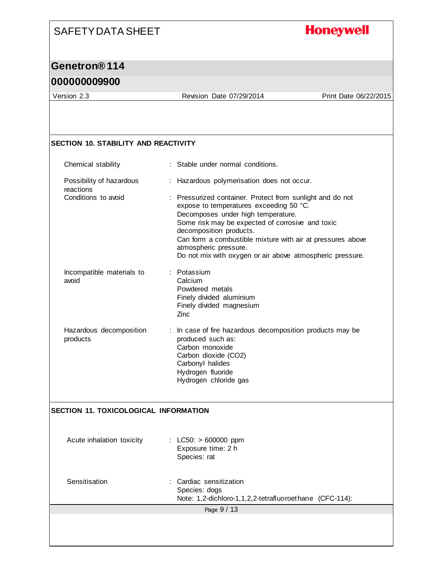# **Honeywell**

## **Genetron® 114**

### **000000009900**

Version 2.3 Revision Date 07/29/2014 Print Date 06/22/2015

#### **SECTION 10. STABILITY AND REACTIVITY**

| Chemical stability                    | : Stable under normal conditions.                                                                                                                                                                                                                                                                                                                                             |
|---------------------------------------|-------------------------------------------------------------------------------------------------------------------------------------------------------------------------------------------------------------------------------------------------------------------------------------------------------------------------------------------------------------------------------|
| Possibility of hazardous<br>reactions | : Hazardous polymerisation does not occur.                                                                                                                                                                                                                                                                                                                                    |
| Conditions to avoid                   | : Pressurized container. Protect from sunlight and do not<br>expose to temperatures exceeding 50 °C.<br>Decomposes under high temperature.<br>Some risk may be expected of corrosive and toxic<br>decomposition products.<br>Can form a combustible mixture with air at pressures above<br>atmospheric pressure.<br>Do not mix with oxygen or air above atmospheric pressure. |
| Incompatible materials to<br>avoid    | : Potassium<br>Calcium<br>Powdered metals<br>Finely divided aluminium<br>Finely divided magnesium<br>Zinc                                                                                                                                                                                                                                                                     |
| Hazardous decomposition<br>products   | In case of fire hazardous decomposition products may be<br>produced such as:<br>Carbon monoxide<br>Carbon dioxide (CO2)<br>Carbonyl halides<br>Hydrogen fluoride<br>Hydrogen chloride gas                                                                                                                                                                                     |
| SECTION 11. TOXICOLOGICAL INFORMATION |                                                                                                                                                                                                                                                                                                                                                                               |
| Acute inhalation toxicity             | : LC50: $> 600000$ ppm<br>Exposure time: 2 h<br>Species: rat                                                                                                                                                                                                                                                                                                                  |
| Sensitisation                         | : Cardiac sensitization<br>Species: dogs<br>Note: 1,2-dichloro-1,1,2,2-tetrafluoroethane (CFC-114):                                                                                                                                                                                                                                                                           |
|                                       | Page 9 / 13                                                                                                                                                                                                                                                                                                                                                                   |
|                                       |                                                                                                                                                                                                                                                                                                                                                                               |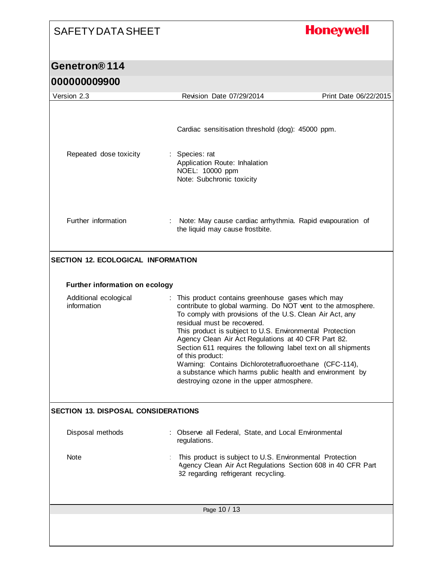# **Honeywell**

#### **Genetron® 114 000000009900**

| <u>UUUUUUUJJUU</u>                         |                                                                                                                                                                                                                                                                                                                                                                                                                                                                                                                                                                                           |                       |
|--------------------------------------------|-------------------------------------------------------------------------------------------------------------------------------------------------------------------------------------------------------------------------------------------------------------------------------------------------------------------------------------------------------------------------------------------------------------------------------------------------------------------------------------------------------------------------------------------------------------------------------------------|-----------------------|
| Version 2.3                                | Revision Date 07/29/2014                                                                                                                                                                                                                                                                                                                                                                                                                                                                                                                                                                  | Print Date 06/22/2015 |
| Repeated dose toxicity                     | Cardiac sensitisation threshold (dog): 45000 ppm.<br>: Species: rat<br>Application Route: Inhalation<br>NOEL: 10000 ppm<br>Note: Subchronic toxicity                                                                                                                                                                                                                                                                                                                                                                                                                                      |                       |
| Further information                        | Note: May cause cardiac arrhythmia. Rapid evapouration of<br>the liquid may cause frostbite.                                                                                                                                                                                                                                                                                                                                                                                                                                                                                              |                       |
| <b>SECTION 12. ECOLOGICAL INFORMATION</b>  |                                                                                                                                                                                                                                                                                                                                                                                                                                                                                                                                                                                           |                       |
| <b>Further information on ecology</b>      |                                                                                                                                                                                                                                                                                                                                                                                                                                                                                                                                                                                           |                       |
| Additional ecological<br>information       | : This product contains greenhouse gases which may<br>contribute to global warming. Do NOT vent to the atmosphere.<br>To comply with provisions of the U.S. Clean Air Act, any<br>residual must be recovered.<br>This product is subject to U.S. Environmental Protection<br>Agency Clean Air Act Regulations at 40 CFR Part 82.<br>Section 611 requires the following label text on all shipments<br>of this product:<br>Warning: Contains Dichlorotetrafluoroethane (CFC-114),<br>a substance which harms public health and environment by<br>destroying ozone in the upper atmosphere. |                       |
| <b>SECTION 13. DISPOSAL CONSIDERATIONS</b> |                                                                                                                                                                                                                                                                                                                                                                                                                                                                                                                                                                                           |                       |
| Disposal methods                           | Observe all Federal, State, and Local Environmental<br>regulations.                                                                                                                                                                                                                                                                                                                                                                                                                                                                                                                       |                       |
| Note                                       | This product is subject to U.S. Environmental Protection<br>Agency Clean Air Act Regulations Section 608 in 40 CFR Part<br>82 regarding refrigerant recycling.                                                                                                                                                                                                                                                                                                                                                                                                                            |                       |
|                                            | Page 10 / 13                                                                                                                                                                                                                                                                                                                                                                                                                                                                                                                                                                              |                       |
|                                            |                                                                                                                                                                                                                                                                                                                                                                                                                                                                                                                                                                                           |                       |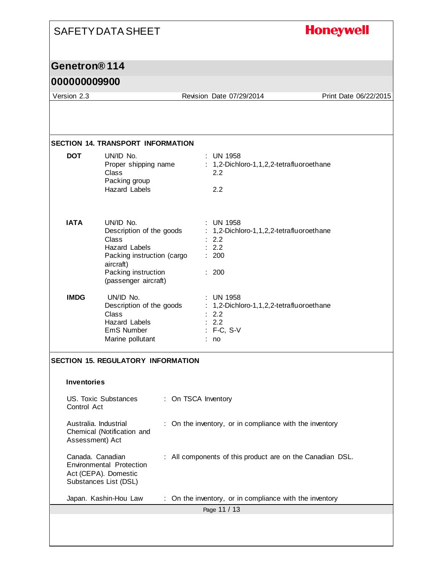# **Honeywell** SAFETY DATA SHEET **Genetron® 114 000000009900** Version 2.3 Revision Date 07/29/2014 Print Date 06/22/2015 **SECTION 14. TRANSPORT INFORMATION DOT** UN/ID No. : UN 1958 Proper shipping name : 1,2-Dichloro-1,1,2,2-tetrafluoroethane

| IATA        | UN/ID No.<br>Description of the goods<br>Class<br>Hazard Labels<br>Packing instruction (cargo<br>aircraft) | : UN 1958<br>$: 1,2$ -Dichloro-1,1,2,2-tetrafluoroethane<br>: 2.2<br>$\therefore$ 2.2<br>: 200                         |
|-------------|------------------------------------------------------------------------------------------------------------|------------------------------------------------------------------------------------------------------------------------|
|             | Packing instruction<br>(passenger aircraft)                                                                | : 200                                                                                                                  |
| <b>IMDG</b> | UN/ID No.<br>Description of the goods<br>Class<br>Hazard Labels<br>EmS Number<br>Marine pollutant          | : UN 1958<br>$: 1,2$ -Dichloro-1,1,2,2-tetrafluoroethane<br>$\therefore$ 2.2<br>$\therefore$ 2.2<br>: F-C, S-V<br>: no |

Class 2.2

Hazard Labels 2.2

Packing group

#### **SECTION 15. REGULATORY INFORMATION**

| <b>Inventories</b> |
|--------------------|
|                    |

| US. Toxic Substances<br>Control Act                                                           | : On TSCA Inventory                                       |
|-----------------------------------------------------------------------------------------------|-----------------------------------------------------------|
| Australia. Industrial<br>Chemical (Notification and<br>Assessment) Act                        | : On the inventory, or in compliance with the inventory   |
| Canada. Canadian<br>Environmental Protection<br>Act (CEPA). Domestic<br>Substances List (DSL) | : All components of this product are on the Canadian DSL. |
| Japan. Kashin-Hou Law                                                                         | : On the inventory, or in compliance with the inventory   |
|                                                                                               | Page 11 / 13                                              |
|                                                                                               |                                                           |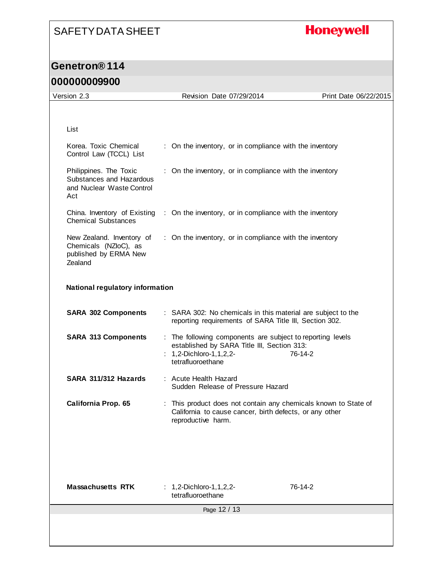# **Honeywell**

## **Genetron® 114 000000009900**

| Version 2.3                                                                            | Revision Date 07/29/2014                                                                                                                                         | Print Date 06/22/2015 |
|----------------------------------------------------------------------------------------|------------------------------------------------------------------------------------------------------------------------------------------------------------------|-----------------------|
|                                                                                        |                                                                                                                                                                  |                       |
|                                                                                        |                                                                                                                                                                  |                       |
| List                                                                                   |                                                                                                                                                                  |                       |
|                                                                                        |                                                                                                                                                                  |                       |
| Korea. Toxic Chemical<br>Control Law (TCCL) List                                       | : On the inventory, or in compliance with the inventory                                                                                                          |                       |
| Philippines. The Toxic<br>Substances and Hazardous<br>and Nuclear Waste Control<br>Act | : On the inventory, or in compliance with the inventory                                                                                                          |                       |
| <b>Chemical Substances</b>                                                             | China. Inventory of Existing : On the inventory, or in compliance with the inventory                                                                             |                       |
| New Zealand. Inventory of<br>Chemicals (NZloC), as<br>published by ERMA New<br>Zealand | : On the inventory, or in compliance with the inventory                                                                                                          |                       |
| National regulatory information                                                        |                                                                                                                                                                  |                       |
| <b>SARA 302 Components</b>                                                             | : SARA 302: No chemicals in this material are subject to the<br>reporting requirements of SARA Title III, Section 302.                                           |                       |
| <b>SARA 313 Components</b>                                                             | : The following components are subject to reporting levels<br>established by SARA Title III, Section 313:<br>: $1, 2$ -Dichloro-1, 1, 2, 2-<br>tetrafluoroethane | 76-14-2               |
| SARA 311/312 Hazards                                                                   | : Acute Health Hazard<br>Sudden Release of Pressure Hazard                                                                                                       |                       |
| California Prop. 65                                                                    | : This product does not contain any chemicals known to State of<br>California to cause cancer, birth defects, or any other<br>reproductive harm.                 |                       |
|                                                                                        |                                                                                                                                                                  |                       |
| <b>Massachusetts RTK</b>                                                               | : $1,2$ -Dichloro-1,1,2,2-<br>tetrafluoroethane                                                                                                                  | 76-14-2               |
|                                                                                        | Page 12 / 13                                                                                                                                                     |                       |
|                                                                                        |                                                                                                                                                                  |                       |